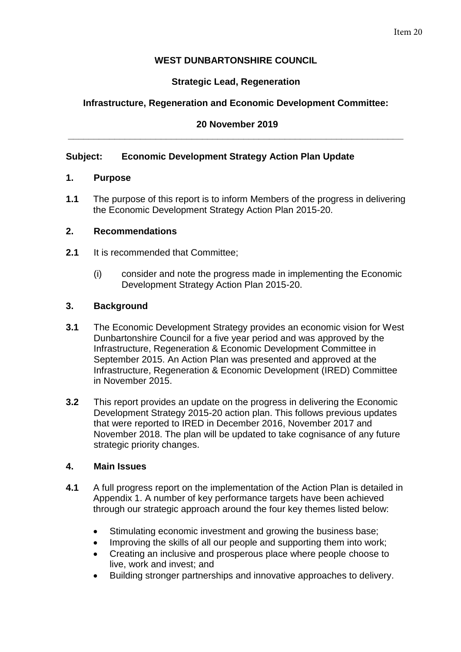# **WEST DUNBARTONSHIRE COUNCIL**

# **Strategic Lead, Regeneration**

## **Infrastructure, Regeneration and Economic Development Committee:**

## **20 November 2019 \_\_\_\_\_\_\_\_\_\_\_\_\_\_\_\_\_\_\_\_\_\_\_\_\_\_\_\_\_\_\_\_\_\_\_\_\_\_\_\_\_\_\_\_\_\_\_\_\_\_\_\_\_\_\_\_\_\_\_\_\_\_\_\_\_**

### **Subject: Economic Development Strategy Action Plan Update**

### **1. Purpose**

**1.1** The purpose of this report is to inform Members of the progress in delivering the Economic Development Strategy Action Plan 2015-20.

### **2. Recommendations**

- **2.1** It is recommended that Committee;
	- (i) consider and note the progress made in implementing the Economic Development Strategy Action Plan 2015-20.

### **3. Background**

- **3.1** The Economic Development Strategy provides an economic vision for West Dunbartonshire Council for a five year period and was approved by the Infrastructure, Regeneration & Economic Development Committee in September 2015. An Action Plan was presented and approved at the Infrastructure, Regeneration & Economic Development (IRED) Committee in November 2015.
- **3.2** This report provides an update on the progress in delivering the Economic Development Strategy 2015-20 action plan. This follows previous updates that were reported to IRED in December 2016, November 2017 and November 2018. The plan will be updated to take cognisance of any future strategic priority changes.

#### **4. Main Issues**

- **4.1** A full progress report on the implementation of the Action Plan is detailed in Appendix 1. A number of key performance targets have been achieved through our strategic approach around the four key themes listed below:
	- Stimulating economic investment and growing the business base;
	- Improving the skills of all our people and supporting them into work;
	- Creating an inclusive and prosperous place where people choose to live, work and invest; and
	- Building stronger partnerships and innovative approaches to delivery.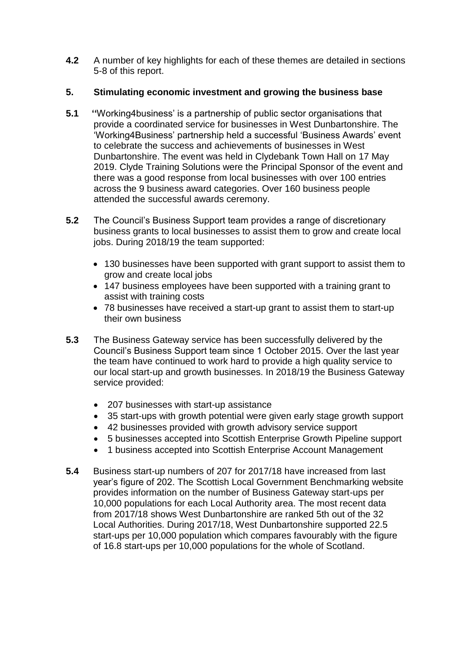**4.2** A number of key highlights for each of these themes are detailed in sections 5-8 of this report.

# **5. Stimulating economic investment and growing the business base**

- **5.1 ''**Working4business' is a partnership of public sector organisations that provide a coordinated service for businesses in West Dunbartonshire. The 'Working4Business' partnership held a successful 'Business Awards' event to celebrate the success and achievements of businesses in West Dunbartonshire. The event was held in Clydebank Town Hall on 17 May 2019. Clyde Training Solutions were the Principal Sponsor of the event and there was a good response from local businesses with over 100 entries across the 9 business award categories. Over 160 business people attended the successful awards ceremony.
- **5.2** The Council's Business Support team provides a range of discretionary business grants to local businesses to assist them to grow and create local jobs. During 2018/19 the team supported:
	- 130 businesses have been supported with grant support to assist them to grow and create local jobs
	- 147 business employees have been supported with a training grant to assist with training costs
	- 78 businesses have received a start-up grant to assist them to start-up their own business
- **5.3** The Business Gateway service has been successfully delivered by the Council's Business Support team since 1 October 2015. Over the last year the team have continued to work hard to provide a high quality service to our local start-up and growth businesses. In 2018/19 the Business Gateway service provided:
	- 207 businesses with start-up assistance
	- 35 start-ups with growth potential were given early stage growth support
	- 42 businesses provided with growth advisory service support
	- 5 businesses accepted into Scottish Enterprise Growth Pipeline support
	- 1 business accepted into Scottish Enterprise Account Management
- **5.4** Business start-up numbers of 207 for 2017/18 have increased from last year's figure of 202. The Scottish Local Government Benchmarking website provides information on the number of Business Gateway start-ups per 10,000 populations for each Local Authority area. The most recent data from 2017/18 shows West Dunbartonshire are ranked 5th out of the 32 Local Authorities. During 2017/18, West Dunbartonshire supported 22.5 start-ups per 10,000 population which compares favourably with the figure of 16.8 start-ups per 10,000 populations for the whole of Scotland.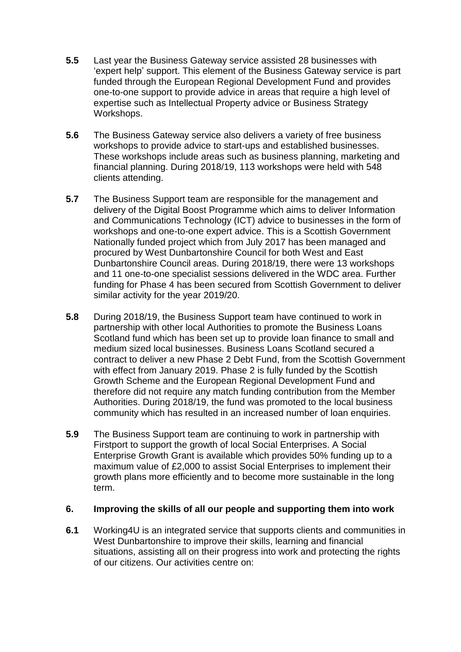- **5.5** Last year the Business Gateway service assisted 28 businesses with 'expert help' support. This element of the Business Gateway service is part funded through the European Regional Development Fund and provides one-to-one support to provide advice in areas that require a high level of expertise such as Intellectual Property advice or Business Strategy Workshops.
- **5.6** The Business Gateway service also delivers a variety of free business workshops to provide advice to start-ups and established businesses. These workshops include areas such as business planning, marketing and financial planning. During 2018/19, 113 workshops were held with 548 clients attending.
- **5.7** The Business Support team are responsible for the management and delivery of the Digital Boost Programme which aims to deliver Information and Communications Technology (ICT) advice to businesses in the form of workshops and one-to-one expert advice. This is a Scottish Government Nationally funded project which from July 2017 has been managed and procured by West Dunbartonshire Council for both West and East Dunbartonshire Council areas. During 2018/19, there were 13 workshops and 11 one-to-one specialist sessions delivered in the WDC area. Further funding for Phase 4 has been secured from Scottish Government to deliver similar activity for the year 2019/20.
- **5.8** During 2018/19, the Business Support team have continued to work in partnership with other local Authorities to promote the Business Loans Scotland fund which has been set up to provide loan finance to small and medium sized local businesses. Business Loans Scotland secured a contract to deliver a new Phase 2 Debt Fund, from the Scottish Government with effect from January 2019. Phase 2 is fully funded by the Scottish Growth Scheme and the European Regional Development Fund and therefore did not require any match funding contribution from the Member Authorities. During 2018/19, the fund was promoted to the local business community which has resulted in an increased number of loan enquiries.
- **5.9** The Business Support team are continuing to work in partnership with Firstport to support the growth of local Social Enterprises. A Social Enterprise Growth Grant is available which provides 50% funding up to a maximum value of £2,000 to assist Social Enterprises to implement their growth plans more efficiently and to become more sustainable in the long term.

## **6. Improving the skills of all our people and supporting them into work**

**6.1** Working4U is an integrated service that supports clients and communities in West Dunbartonshire to improve their skills, learning and financial situations, assisting all on their progress into work and protecting the rights of our citizens. Our activities centre on: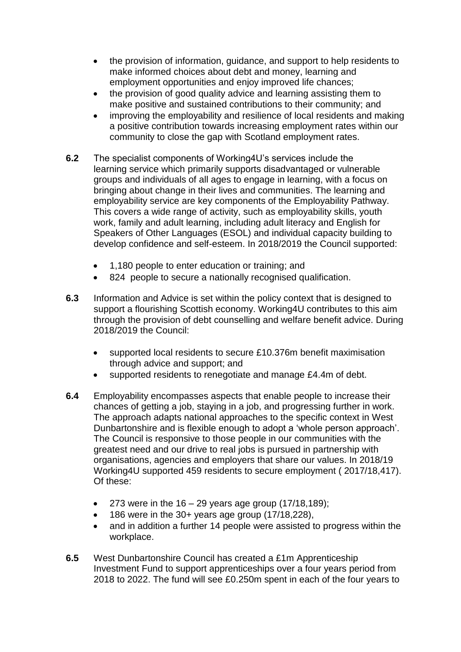- the provision of information, guidance, and support to help residents to make informed choices about debt and money, learning and employment opportunities and enjoy improved life chances;
- the provision of good quality advice and learning assisting them to make positive and sustained contributions to their community; and
- improving the employability and resilience of local residents and making a positive contribution towards increasing employment rates within our community to close the gap with Scotland employment rates.
- **6.2** The specialist components of Working4U's services include the learning service which primarily supports disadvantaged or vulnerable groups and individuals of all ages to engage in learning, with a focus on bringing about change in their lives and communities. The learning and employability service are key components of the Employability Pathway. This covers a wide range of activity, such as employability skills, youth work, family and adult learning, including adult literacy and English for Speakers of Other Languages (ESOL) and individual capacity building to develop confidence and self-esteem. In 2018/2019 the Council supported:
	- 1,180 people to enter education or training; and
	- 824 people to secure a nationally recognised qualification.
- **6.3** Information and Advice is set within the policy context that is designed to support a flourishing Scottish economy. Working4U contributes to this aim through the provision of debt counselling and welfare benefit advice. During 2018/2019 the Council:
	- supported local residents to secure £10.376m benefit maximisation through advice and support; and
	- supported residents to renegotiate and manage £4.4m of debt.
- **6.4** Employability encompasses aspects that enable people to increase their chances of getting a job, staying in a job, and progressing further in work. The approach adapts national approaches to the specific context in West Dunbartonshire and is flexible enough to adopt a 'whole person approach'. The Council is responsive to those people in our communities with the greatest need and our drive to real jobs is pursued in partnership with organisations, agencies and employers that share our values. In 2018/19 Working4U supported 459 residents to secure employment ( 2017/18,417). Of these:
	- $\bullet$  273 were in the 16 29 years age group (17/18,189);
	- 186 were in the 30+ years age group (17/18,228),
	- and in addition a further 14 people were assisted to progress within the workplace.
- **6.5** West Dunbartonshire Council has created a £1m Apprenticeship Investment Fund to support apprenticeships over a four years period from 2018 to 2022. The fund will see £0.250m spent in each of the four years to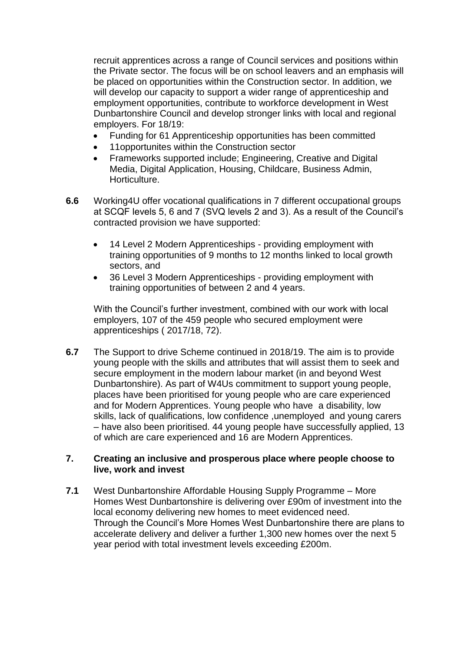recruit apprentices across a range of Council services and positions within the Private sector. The focus will be on school leavers and an emphasis will be placed on opportunities within the Construction sector. In addition, we will develop our capacity to support a wider range of apprenticeship and employment opportunities, contribute to workforce development in West Dunbartonshire Council and develop stronger links with local and regional employers. For 18/19:

- Funding for 61 Apprenticeship opportunities has been committed
- 11opportunites within the Construction sector
- Frameworks supported include; Engineering, Creative and Digital Media, Digital Application, Housing, Childcare, Business Admin, Horticulture.
- **6.6** Working4U offer vocational qualifications in 7 different occupational groups at SCQF levels 5, 6 and 7 (SVQ levels 2 and 3). As a result of the Council's contracted provision we have supported:
	- 14 Level 2 Modern Apprenticeships providing employment with training opportunities of 9 months to 12 months linked to local growth sectors, and
	- 36 Level 3 Modern Apprenticeships providing employment with training opportunities of between 2 and 4 years.

With the Council's further investment, combined with our work with local employers, 107 of the 459 people who secured employment were apprenticeships ( 2017/18, 72).

**6.7** The Support to drive Scheme continued in 2018/19. The aim is to provide young people with the skills and attributes that will assist them to seek and secure employment in the modern labour market (in and beyond West Dunbartonshire). As part of W4Us commitment to support young people, places have been prioritised for young people who are care experienced and for Modern Apprentices. Young people who have a disability, low skills, lack of qualifications, low confidence ,unemployed and young carers – have also been prioritised. 44 young people have successfully applied, 13 of which are care experienced and 16 are Modern Apprentices.

### **7. Creating an inclusive and prosperous place where people choose to live, work and invest**

**7.1** West Dunbartonshire Affordable Housing Supply Programme – More Homes West Dunbartonshire is delivering over £90m of investment into the local economy delivering new homes to meet evidenced need. Through the Council's More Homes West Dunbartonshire there are plans to accelerate delivery and deliver a further 1,300 new homes over the next 5 year period with total investment levels exceeding £200m.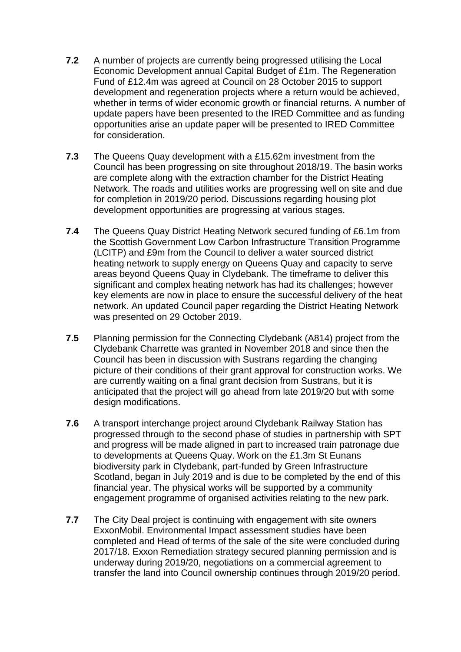- **7.2** A number of projects are currently being progressed utilising the Local Economic Development annual Capital Budget of £1m. The Regeneration Fund of £12.4m was agreed at Council on 28 October 2015 to support development and regeneration projects where a return would be achieved, whether in terms of wider economic growth or financial returns. A number of update papers have been presented to the IRED Committee and as funding opportunities arise an update paper will be presented to IRED Committee for consideration.
- **7.3** The Queens Quay development with a £15.62m investment from the Council has been progressing on site throughout 2018/19. The basin works are complete along with the extraction chamber for the District Heating Network. The roads and utilities works are progressing well on site and due for completion in 2019/20 period. Discussions regarding housing plot development opportunities are progressing at various stages.
- **7.4** The Queens Quay District Heating Network secured funding of £6.1m from the Scottish Government Low Carbon Infrastructure Transition Programme (LCITP) and £9m from the Council to deliver a water sourced district heating network to supply energy on Queens Quay and capacity to serve areas beyond Queens Quay in Clydebank. The timeframe to deliver this significant and complex heating network has had its challenges; however key elements are now in place to ensure the successful delivery of the heat network. An updated Council paper regarding the District Heating Network was presented on 29 October 2019.
- **7.5** Planning permission for the Connecting Clydebank (A814) project from the Clydebank Charrette was granted in November 2018 and since then the Council has been in discussion with Sustrans regarding the changing picture of their conditions of their grant approval for construction works. We are currently waiting on a final grant decision from Sustrans, but it is anticipated that the project will go ahead from late 2019/20 but with some design modifications.
- **7.6** A transport interchange project around Clydebank Railway Station has progressed through to the second phase of studies in partnership with SPT and progress will be made aligned in part to increased train patronage due to developments at Queens Quay. Work on the £1.3m St Eunans biodiversity park in Clydebank, part-funded by Green Infrastructure Scotland, began in July 2019 and is due to be completed by the end of this financial year. The physical works will be supported by a community engagement programme of organised activities relating to the new park.
- **7.7** The City Deal project is continuing with engagement with site owners ExxonMobil. Environmental Impact assessment studies have been completed and Head of terms of the sale of the site were concluded during 2017/18. Exxon Remediation strategy secured planning permission and is underway during 2019/20, negotiations on a commercial agreement to transfer the land into Council ownership continues through 2019/20 period.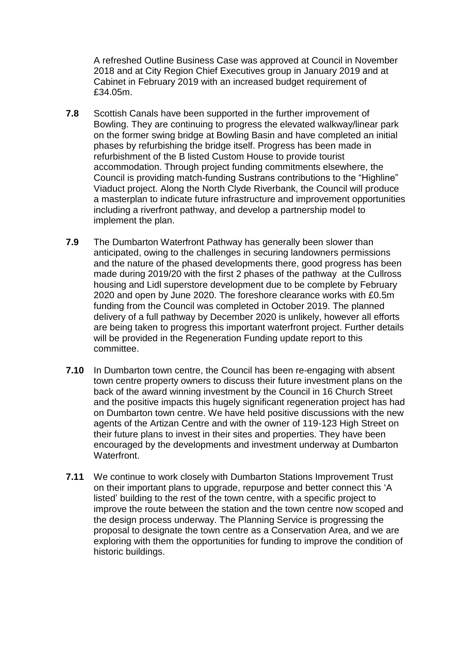A refreshed Outline Business Case was approved at Council in November 2018 and at City Region Chief Executives group in January 2019 and at Cabinet in February 2019 with an increased budget requirement of £34.05m.

- **7.8** Scottish Canals have been supported in the further improvement of Bowling. They are continuing to progress the elevated walkway/linear park on the former swing bridge at Bowling Basin and have completed an initial phases by refurbishing the bridge itself. Progress has been made in refurbishment of the B listed Custom House to provide tourist accommodation. Through project funding commitments elsewhere, the Council is providing match-funding Sustrans contributions to the "Highline" Viaduct project. Along the North Clyde Riverbank, the Council will produce a masterplan to indicate future infrastructure and improvement opportunities including a riverfront pathway, and develop a partnership model to implement the plan.
- **7.9** The Dumbarton Waterfront Pathway has generally been slower than anticipated, owing to the challenges in securing landowners permissions and the nature of the phased developments there, good progress has been made during 2019/20 with the first 2 phases of the pathway at the Cullross housing and Lidl superstore development due to be complete by February 2020 and open by June 2020. The foreshore clearance works with £0.5m funding from the Council was completed in October 2019. The planned delivery of a full pathway by December 2020 is unlikely, however all efforts are being taken to progress this important waterfront project. Further details will be provided in the Regeneration Funding update report to this committee.
- **7.10** In Dumbarton town centre, the Council has been re-engaging with absent town centre property owners to discuss their future investment plans on the back of the award winning investment by the Council in 16 Church Street and the positive impacts this hugely significant regeneration project has had on Dumbarton town centre. We have held positive discussions with the new agents of the Artizan Centre and with the owner of 119-123 High Street on their future plans to invest in their sites and properties. They have been encouraged by the developments and investment underway at Dumbarton Waterfront.
- **7.11** We continue to work closely with Dumbarton Stations Improvement Trust on their important plans to upgrade, repurpose and better connect this 'A listed' building to the rest of the town centre, with a specific project to improve the route between the station and the town centre now scoped and the design process underway. The Planning Service is progressing the proposal to designate the town centre as a Conservation Area, and we are exploring with them the opportunities for funding to improve the condition of historic buildings.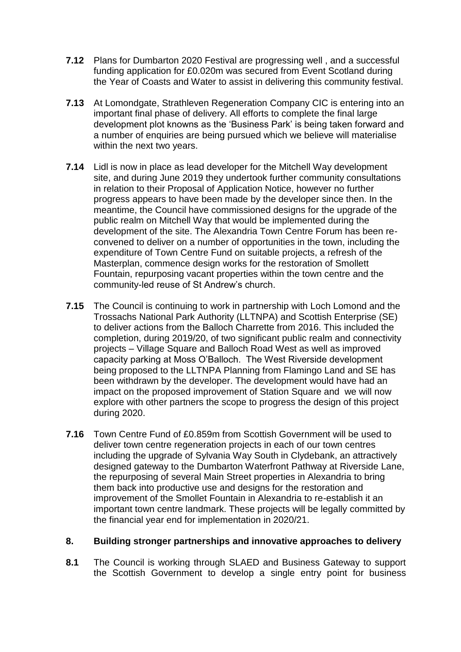- **7.12** Plans for Dumbarton 2020 Festival are progressing well , and a successful funding application for £0.020m was secured from Event Scotland during the Year of Coasts and Water to assist in delivering this community festival.
- **7.13** At Lomondgate, Strathleven Regeneration Company CIC is entering into an important final phase of delivery. All efforts to complete the final large development plot knowns as the 'Business Park' is being taken forward and a number of enquiries are being pursued which we believe will materialise within the next two years.
- **7.14** Lidl is now in place as lead developer for the Mitchell Way development site, and during June 2019 they undertook further community consultations in relation to their Proposal of Application Notice, however no further progress appears to have been made by the developer since then. In the meantime, the Council have commissioned designs for the upgrade of the public realm on Mitchell Way that would be implemented during the development of the site. The Alexandria Town Centre Forum has been reconvened to deliver on a number of opportunities in the town, including the expenditure of Town Centre Fund on suitable projects, a refresh of the Masterplan, commence design works for the restoration of Smollett Fountain, repurposing vacant properties within the town centre and the community-led reuse of St Andrew's church.
- **7.15** The Council is continuing to work in partnership with Loch Lomond and the Trossachs National Park Authority (LLTNPA) and Scottish Enterprise (SE) to deliver actions from the Balloch Charrette from 2016. This included the completion, during 2019/20, of two significant public realm and connectivity projects – Village Square and Balloch Road West as well as improved capacity parking at Moss O'Balloch. The West Riverside development being proposed to the LLTNPA Planning from Flamingo Land and SE has been withdrawn by the developer. The development would have had an impact on the proposed improvement of Station Square and we will now explore with other partners the scope to progress the design of this project during 2020.
- **7.16** Town Centre Fund of £0.859m from Scottish Government will be used to deliver town centre regeneration projects in each of our town centres including the upgrade of Sylvania Way South in Clydebank, an attractively designed gateway to the Dumbarton Waterfront Pathway at Riverside Lane, the repurposing of several Main Street properties in Alexandria to bring them back into productive use and designs for the restoration and improvement of the Smollet Fountain in Alexandria to re-establish it an important town centre landmark. These projects will be legally committed by the financial year end for implementation in 2020/21.

## **8. Building stronger partnerships and innovative approaches to delivery**

**8.1** The Council is working through SLAED and Business Gateway to support the Scottish Government to develop a single entry point for business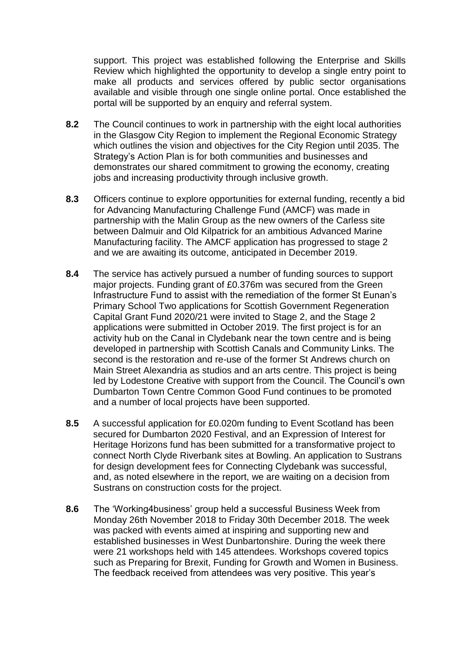support. This project was established following the Enterprise and Skills Review which highlighted the opportunity to develop a single entry point to make all products and services offered by public sector organisations available and visible through one single online portal. Once established the portal will be supported by an enquiry and referral system.

- **8.2** The Council continues to work in partnership with the eight local authorities in the Glasgow City Region to implement the Regional Economic Strategy which outlines the vision and objectives for the City Region until 2035. The Strategy's Action Plan is for both communities and businesses and demonstrates our shared commitment to growing the economy, creating jobs and increasing productivity through inclusive growth.
- **8.3** Officers continue to explore opportunities for external funding, recently a bid for Advancing Manufacturing Challenge Fund (AMCF) was made in partnership with the Malin Group as the new owners of the Carless site between Dalmuir and Old Kilpatrick for an ambitious Advanced Marine Manufacturing facility. The AMCF application has progressed to stage 2 and we are awaiting its outcome, anticipated in December 2019.
- **8.4** The service has actively pursued a number of funding sources to support major projects. Funding grant of £0.376m was secured from the Green Infrastructure Fund to assist with the remediation of the former St Eunan's Primary School Two applications for Scottish Government Regeneration Capital Grant Fund 2020/21 were invited to Stage 2, and the Stage 2 applications were submitted in October 2019. The first project is for an activity hub on the Canal in Clydebank near the town centre and is being developed in partnership with Scottish Canals and Community Links. The second is the restoration and re-use of the former St Andrews church on Main Street Alexandria as studios and an arts centre. This project is being led by Lodestone Creative with support from the Council. The Council's own Dumbarton Town Centre Common Good Fund continues to be promoted and a number of local projects have been supported.
- **8.5** A successful application for £0.020m funding to Event Scotland has been secured for Dumbarton 2020 Festival, and an Expression of Interest for Heritage Horizons fund has been submitted for a transformative project to connect North Clyde Riverbank sites at Bowling. An application to Sustrans for design development fees for Connecting Clydebank was successful, and, as noted elsewhere in the report, we are waiting on a decision from Sustrans on construction costs for the project.
- **8.6** The 'Working4business' group held a successful Business Week from Monday 26th November 2018 to Friday 30th December 2018. The week was packed with events aimed at inspiring and supporting new and established businesses in West Dunbartonshire. During the week there were 21 workshops held with 145 attendees. Workshops covered topics such as Preparing for Brexit, Funding for Growth and Women in Business. The feedback received from attendees was very positive. This year's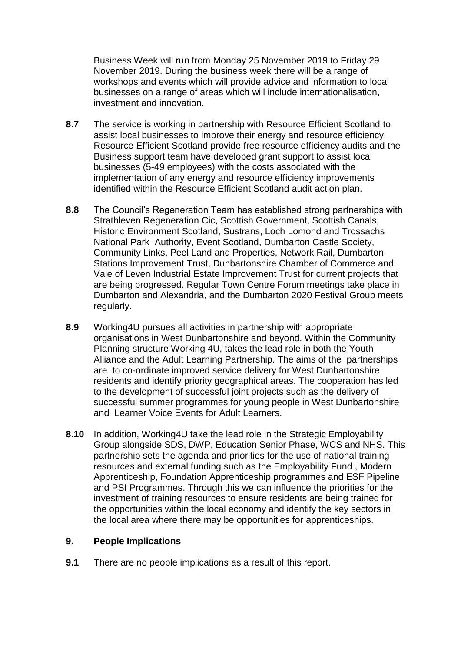Business Week will run from Monday 25 November 2019 to Friday 29 November 2019. During the business week there will be a range of workshops and events which will provide advice and information to local businesses on a range of areas which will include internationalisation, investment and innovation.

- **8.7** The service is working in partnership with Resource Efficient Scotland to assist local businesses to improve their energy and resource efficiency. Resource Efficient Scotland provide free resource efficiency audits and the Business support team have developed grant support to assist local businesses (5-49 employees) with the costs associated with the implementation of any energy and resource efficiency improvements identified within the Resource Efficient Scotland audit action plan.
- **8.8** The Council's Regeneration Team has established strong partnerships with Strathleven Regeneration Cic, Scottish Government, Scottish Canals, Historic Environment Scotland, Sustrans, Loch Lomond and Trossachs National Park Authority, Event Scotland, Dumbarton Castle Society, Community Links, Peel Land and Properties, Network Rail, Dumbarton Stations Improvement Trust, Dunbartonshire Chamber of Commerce and Vale of Leven Industrial Estate Improvement Trust for current projects that are being progressed. Regular Town Centre Forum meetings take place in Dumbarton and Alexandria, and the Dumbarton 2020 Festival Group meets regularly.
- **8.9** Working4U pursues all activities in partnership with appropriate organisations in West Dunbartonshire and beyond. Within the Community Planning structure Working 4U, takes the lead role in both the Youth Alliance and the Adult Learning Partnership. The aims of the partnerships are to co-ordinate improved service delivery for West Dunbartonshire residents and identify priority geographical areas. The cooperation has led to the development of successful joint projects such as the delivery of successful summer programmes for young people in West Dunbartonshire and Learner Voice Events for Adult Learners.
- **8.10** In addition, Working4U take the lead role in the Strategic Employability Group alongside SDS, DWP, Education Senior Phase, WCS and NHS. This partnership sets the agenda and priorities for the use of national training resources and external funding such as the Employability Fund , Modern Apprenticeship, Foundation Apprenticeship programmes and ESF Pipeline and PSI Programmes. Through this we can influence the priorities for the investment of training resources to ensure residents are being trained for the opportunities within the local economy and identify the key sectors in the local area where there may be opportunities for apprenticeships.

## **9. People Implications**

**9.1** There are no people implications as a result of this report.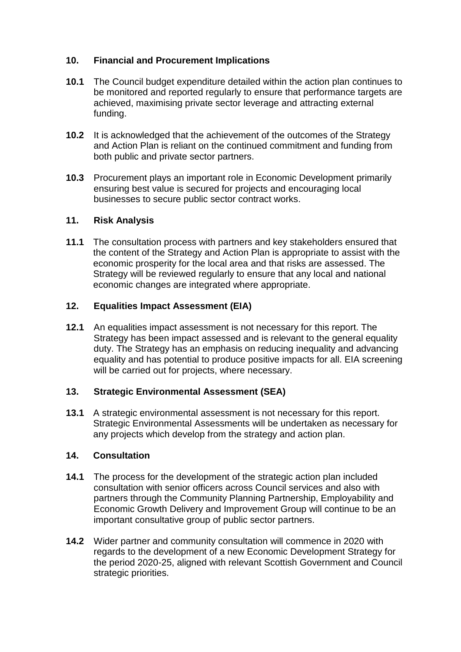# **10. Financial and Procurement Implications**

- **10.1** The Council budget expenditure detailed within the action plan continues to be monitored and reported regularly to ensure that performance targets are achieved, maximising private sector leverage and attracting external funding.
- **10.2** It is acknowledged that the achievement of the outcomes of the Strategy and Action Plan is reliant on the continued commitment and funding from both public and private sector partners.
- **10.3** Procurement plays an important role in Economic Development primarily ensuring best value is secured for projects and encouraging local businesses to secure public sector contract works.

## **11. Risk Analysis**

**11.1** The consultation process with partners and key stakeholders ensured that the content of the Strategy and Action Plan is appropriate to assist with the economic prosperity for the local area and that risks are assessed. The Strategy will be reviewed regularly to ensure that any local and national economic changes are integrated where appropriate.

## **12. Equalities Impact Assessment (EIA)**

**12.1** An equalities impact assessment is not necessary for this report. The Strategy has been impact assessed and is relevant to the general equality duty. The Strategy has an emphasis on reducing inequality and advancing equality and has potential to produce positive impacts for all. EIA screening will be carried out for projects, where necessary.

## **13. Strategic Environmental Assessment (SEA)**

**13.1** A strategic environmental assessment is not necessary for this report. Strategic Environmental Assessments will be undertaken as necessary for any projects which develop from the strategy and action plan.

## **14. Consultation**

- **14.1** The process for the development of the strategic action plan included consultation with senior officers across Council services and also with partners through the Community Planning Partnership, Employability and Economic Growth Delivery and Improvement Group will continue to be an important consultative group of public sector partners.
- **14.2** Wider partner and community consultation will commence in 2020 with regards to the development of a new Economic Development Strategy for the period 2020-25, aligned with relevant Scottish Government and Council strategic priorities.